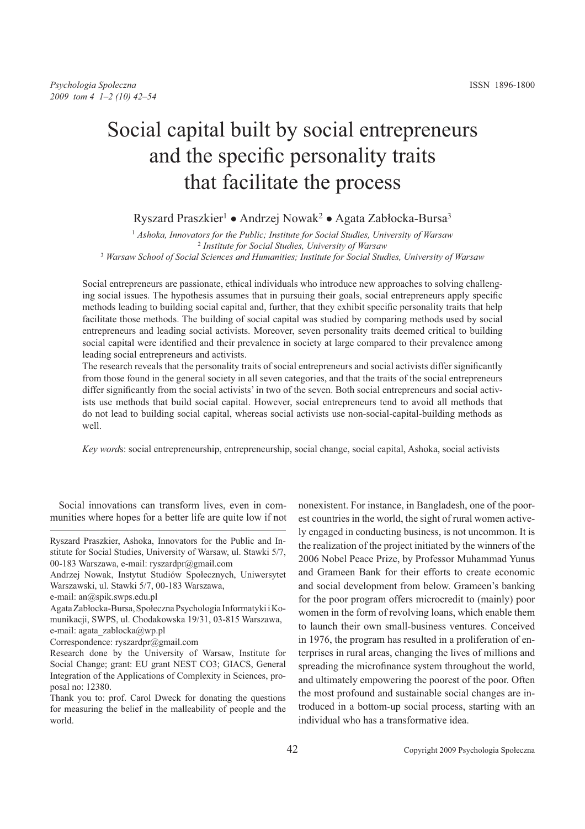# Social capital built by social entrepreneurs and the specific personality traits that facilitate the process

## Ryszard Praszkier<sup>1</sup> • Andrzej Nowak<sup>2</sup> • Agata Zabłocka-Bursa<sup>3</sup>

<sup>1</sup> *Ashoka, Innovators for the Public; Institute for Social Studies, University of Warsaw* 2 *Institute for Social Studies, University of Warsaw* <sup>3</sup> *Warsaw School of Social Sciences and Humanities; Institute for Social Studies, University of Warsaw*

Social entrepreneurs are passionate, ethical individuals who introduce new approaches to solving challenging social issues. The hypothesis assumes that in pursuing their goals, social entrepreneurs apply specific methods leading to building social capital and, further, that they exhibit specific personality traits that help facilitate those methods. The building of social capital was studied by comparing methods used by social entrepreneurs and leading social activists. Moreover, seven personality traits deemed critical to building social capital were identified and their prevalence in society at large compared to their prevalence among leading social entrepreneurs and activists.

The research reveals that the personality traits of social entrepreneurs and social activists differ significantly from those found in the general society in all seven categories, and that the traits of the social entrepreneurs differ significantly from the social activists' in two of the seven. Both social entrepreneurs and social activists use methods that build social capital. However, social entrepreneurs tend to avoid all methods that do not lead to building social capital, whereas social activists use non-social-capital-building methods as well.

*Key word*s: social entrepreneurship, entrepreneurship, social change, social capital, Ashoka, social activists

Social innovations can transform lives, even in communities where hopes for a better life are quite low if not

Ryszard Praszkier, Ashoka, Innovators for the Public and Institute for Social Studies, University of Warsaw, ul. Stawki 5/7, 00-183 Warszawa, e-mail: ryszardpr@gmail.com

nonexistent. For instance, in Bangladesh, one of the poorest countries in the world, the sight of rural women actively engaged in conducting business, is not uncommon. It is the realization of the project initiated by the winners of the 2006 Nobel Peace Prize, by Professor Muhammad Yunus and Grameen Bank for their efforts to create economic and social development from below. Grameen's banking for the poor program offers microcredit to (mainly) poor women in the form of revolving loans, which enable them to launch their own small-business ventures. Conceived in 1976, the program has resulted in a proliferation of enterprises in rural areas, changing the lives of millions and spreading the microfinance system throughout the world, and ultimately empowering the poorest of the poor. Often the most profound and sustainable social changes are introduced in a bottom-up social process, starting with an individual who has a transformative idea.

Andrzej Nowak, Instytut Studiów Społecznych, Uniwersytet Warszawski, ul. Stawki 5/7, 00-183 Warszawa,

e-mail: an@spik.swps.edu.pl

Agata Zabłocka-Bursa, Społeczna Psychologia Informatyki i Komunikacji, SWPS, ul. Chodakowska 19/31, 03-815 Warszawa, e-mail: agata\_zablocka@wp.pl

Correspondence: ryszardpr@gmail.com

Research done by the University of Warsaw, Institute for Social Change; grant: EU grant NEST CO3; GIACS, General Integration of the Applications of Complexity in Sciences, proposal no: 12380.

Thank you to: prof. Carol Dweck for donating the questions for measuring the belief in the malleability of people and the world.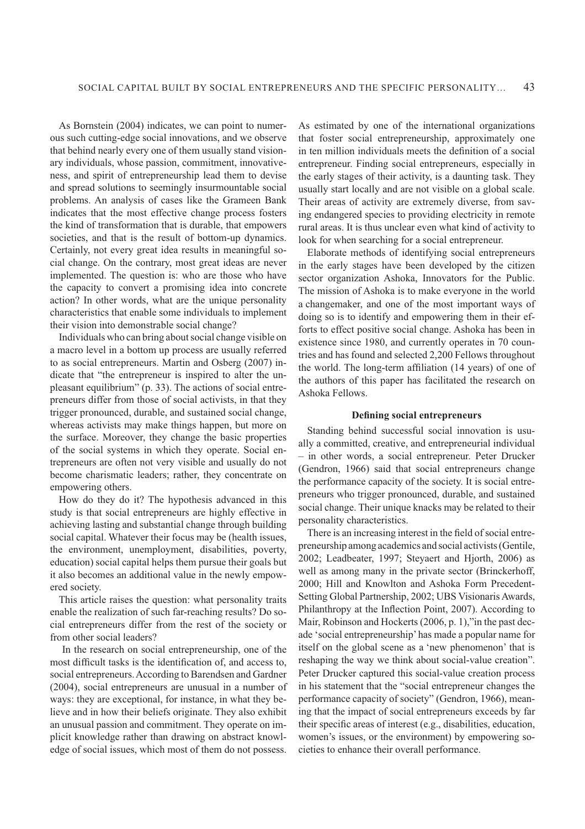As Bornstein (2004) indicates, we can point to numerous such cutting-edge social innovations, and we observe that behind nearly every one of them usually stand visionary individuals, whose passion, commitment, innovativeness, and spirit of entrepreneurship lead them to devise and spread solutions to seemingly insurmountable social problems. An analysis of cases like the Grameen Bank indicates that the most effective change process fosters the kind of transformation that is durable, that empowers societies, and that is the result of bottom-up dynamics. Certainly, not every great idea results in meaningful social change. On the contrary, most great ideas are never implemented. The question is: who are those who have the capacity to convert a promising idea into concrete action? In other words, what are the unique personality characteristics that enable some individuals to implement their vision into demonstrable social change?

Individuals who can bring about social change visible on a macro level in a bottom up process are usually referred to as social entrepreneurs. Martin and Osberg (2007) indicate that "the entrepreneur is inspired to alter the unpleasant equilibrium" (p. 33). The actions of social entrepreneurs differ from those of social activists, in that they trigger pronounced, durable, and sustained social change, whereas activists may make things happen, but more on the surface. Moreover, they change the basic properties of the social systems in which they operate. Social entrepreneurs are often not very visible and usually do not become charismatic leaders; rather, they concentrate on empowering others.

How do they do it? The hypothesis advanced in this study is that social entrepreneurs are highly effective in achieving lasting and substantial change through building social capital. Whatever their focus may be (health issues, the environment, unemployment, disabilities, poverty, education) social capital helps them pursue their goals but it also becomes an additional value in the newly empowered society.

This article raises the question: what personality traits enable the realization of such far-reaching results? Do social entrepreneurs differ from the rest of the society or from other social leaders?

 In the research on social entrepreneurship, one of the most difficult tasks is the identification of, and access to, social entrepreneurs. According to Barendsen and Gardner (2004), social entrepreneurs are unusual in a number of ways: they are exceptional, for instance, in what they believe and in how their beliefs originate. They also exhibit an unusual passion and commitment. They operate on implicit knowledge rather than drawing on abstract knowledge of social issues, which most of them do not possess.

As estimated by one of the international organizations that foster social entrepreneurship, approximately one in ten million individuals meets the definition of a social entrepreneur. Finding social entrepreneurs, especially in the early stages of their activity, is a daunting task. They usually start locally and are not visible on a global scale. Their areas of activity are extremely diverse, from saving endangered species to providing electricity in remote rural areas. It is thus unclear even what kind of activity to look for when searching for a social entrepreneur.

Elaborate methods of identifying social entrepreneurs in the early stages have been developed by the citizen sector organization Ashoka, Innovators for the Public. The mission of Ashoka is to make everyone in the world a changemaker, and one of the most important ways of doing so is to identify and empowering them in their efforts to effect positive social change. Ashoka has been in existence since 1980, and currently operates in 70 countries and has found and selected 2,200 Fellows throughout the world. The long-term affiliation (14 years) of one of the authors of this paper has facilitated the research on Ashoka Fellows.

## **DeÞning social entrepreneurs**

Standing behind successful social innovation is usually a committed, creative, and entrepreneurial individual – in other words, a social entrepreneur. Peter Drucker (Gendron, 1966) said that social entrepreneurs change the performance capacity of the society. It is social entrepreneurs who trigger pronounced, durable, and sustained social change. Their unique knacks may be related to their personality characteristics.

There is an increasing interest in the field of social entrepreneurship among academics and social activists (Gentile, 2002; Leadbeater, 1997; Steyaert and Hjorth, 2006) as well as among many in the private sector (Brinckerhoff, 2000; Hill and Knowlton and Ashoka Form Precedent-Setting Global Partnership, 2002; UBS Visionaris Awards, Philanthropy at the Inßection Point, 2007). According to Mair, Robinson and Hockerts (2006, p. 1),"in the past decade 'social entrepreneurship' has made a popular name for itself on the global scene as a 'new phenomenon' that is reshaping the way we think about social-value creation". Peter Drucker captured this social-value creation process in his statement that the "social entrepreneur changes the performance capacity of society" (Gendron, 1966), meaning that the impact of social entrepreneurs exceeds by far their specific areas of interest (e.g., disabilities, education, women's issues, or the environment) by empowering societies to enhance their overall performance.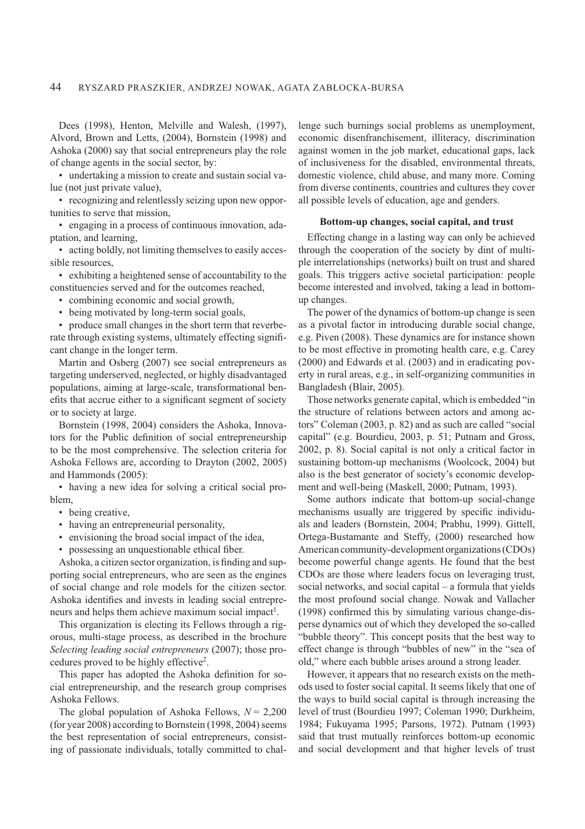Dees (1998), Henton, Melville and Walesh, (1997), Alvord, Brown and Letts, (2004), Bornstein (1998) and Ashoka (2000) say that social entrepreneurs play the role of change agents in the social sector, by:

• undertaking a mission to create and sustain social value (not just private value),

• recognizing and relentlessly seizing upon new opportunities to serve that mission,

• engaging in a process of continuous innovation, adaptation, and learning,

• acting boldly, not limiting themselves to easily accessible resources,

• exhibiting a heightened sense of accountability to the constituencies served and for the outcomes reached,

• combining economic and social growth,

• being motivated by long-term social goals,

• produce small changes in the short term that reverberate through existing systems, ultimately effecting signiÞcant change in the longer term.

Martin and Osberg (2007) see social entrepreneurs as targeting underserved, neglected, or highly disadvantaged populations, aiming at large-scale, transformational benefits that accrue either to a significant segment of society or to society at large.

Bornstein (1998, 2004) considers the Ashoka, Innovators for the Public definition of social entrepreneurship to be the most comprehensive. The selection criteria for Ashoka Fellows are, according to Drayton (2002, 2005) and Hammonds (2005):

• having a new idea for solving a critical social problem,

- being creative,
- having an entrepreneurial personality,
- envisioning the broad social impact of the idea,
- possessing an unquestionable ethical fiber.

Ashoka, a citizen sector organization, is finding and supporting social entrepreneurs, who are seen as the engines of social change and role models for the citizen sector. Ashoka identifies and invests in leading social entrepreneurs and helps them achieve maximum social impact<sup>1</sup>.

This organization is electing its Fellows through a rigorous, multi-stage process, as described in the brochure *Selecting leading social entrepreneurs* (2007); those procedures proved to be highly effective<sup>2</sup> .

This paper has adopted the Ashoka definition for social entrepreneurship, and the research group comprises Ashoka Fellows.

The global population of Ashoka Fellows,  $N = 2,200$ (for year 2008) according to Bornstein (1998, 2004) seems the best representation of social entrepreneurs, consisting of passionate individuals, totally committed to challenge such burnings social problems as unemployment, economic disenfranchisement, illiteracy, discrimination against women in the job market, educational gaps, lack of inclusiveness for the disabled, environmental threats, domestic violence, child abuse, and many more. Coming from diverse continents, countries and cultures they cover all possible levels of education, age and genders.

## **Bottom-up changes, social capital, and trust**

Effecting change in a lasting way can only be achieved through the cooperation of the society by dint of multiple interrelationships (networks) built on trust and shared goals. This triggers active societal participation: people become interested and involved, taking a lead in bottomup changes.

The power of the dynamics of bottom-up change is seen as a pivotal factor in introducing durable social change, e.g. Piven (2008). These dynamics are for instance shown to be most effective in promoting health care, e.g. Carey (2000) and Edwards et al. (2003) and in eradicating poverty in rural areas, e.g., in self-organizing communities in Bangladesh (Blair, 2005).

Those networks generate capital, which is embedded "in the structure of relations between actors and among actors" Coleman (2003, p. 82) and as such are called "social capital" (e.g. Bourdieu, 2003, p. 51; Putnam and Gross, 2002, p. 8). Social capital is not only a critical factor in sustaining bottom-up mechanisms (Woolcock, 2004) but also is the best generator of society's economic development and well-being (Maskell, 2000; Putnam, 1993).

Some authors indicate that bottom-up social-change mechanisms usually are triggered by specific individuals and leaders (Bornstein, 2004; Prabhu, 1999). Gittell, Ortega-Bustamante and Steffy, (2000) researched how American community-development organizations (CDOs) become powerful change agents. He found that the best CDOs are those where leaders focus on leveraging trust, social networks, and social capital – a formula that yields the most profound social change. Nowak and Vallacher  $(1998)$  confirmed this by simulating various change-disperse dynamics out of which they developed the so-called "bubble theory". This concept posits that the best way to effect change is through "bubbles of new" in the "sea of old," where each bubble arises around a strong leader.

However, it appears that no research exists on the methods used to foster social capital. It seems likely that one of the ways to build social capital is through increasing the level of trust (Bourdieu 1997; Coleman 1990; Durkheim, 1984; Fukuyama 1995; Parsons, 1972). Putnam (1993) said that trust mutually reinforces bottom-up economic and social development and that higher levels of trust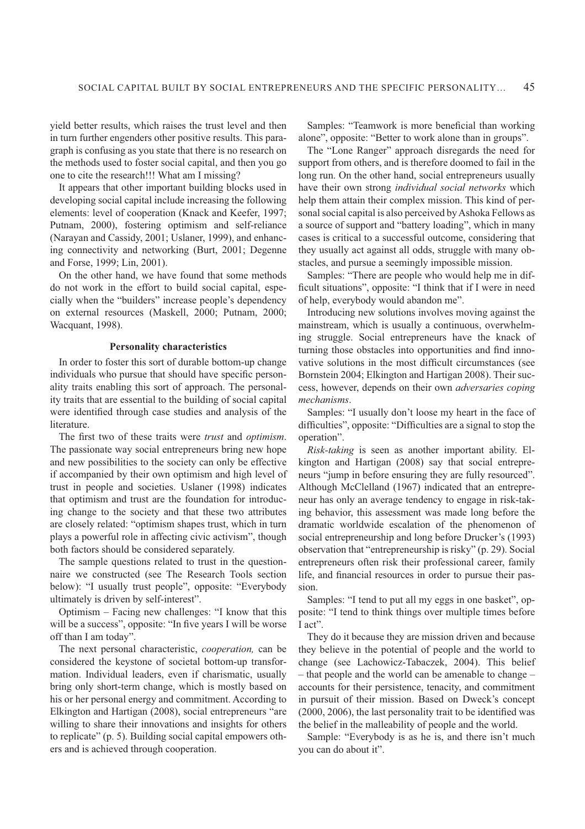yield better results, which raises the trust level and then in turn further engenders other positive results. This paragraph is confusing as you state that there is no research on the methods used to foster social capital, and then you go one to cite the research!!! What am I missing?

It appears that other important building blocks used in developing social capital include increasing the following elements: level of cooperation (Knack and Keefer, 1997; Putnam, 2000), fostering optimism and self-reliance (Narayan and Cassidy, 2001; Uslaner, 1999), and enhancing connectivity and networking (Burt, 2001; Degenne and Forse, 1999; Lin, 2001).

On the other hand, we have found that some methods do not work in the effort to build social capital, especially when the "builders" increase people's dependency on external resources (Maskell, 2000; Putnam, 2000; Wacquant, 1998).

#### **Personality characteristics**

In order to foster this sort of durable bottom-up change individuals who pursue that should have specific personality traits enabling this sort of approach. The personality traits that are essential to the building of social capital were identified through case studies and analysis of the literature.

The first two of these traits were *trust* and *optimism*. The passionate way social entrepreneurs bring new hope and new possibilities to the society can only be effective if accompanied by their own optimism and high level of trust in people and societies. Uslaner (1998) indicates that optimism and trust are the foundation for introducing change to the society and that these two attributes are closely related: "optimism shapes trust, which in turn plays a powerful role in affecting civic activism", though both factors should be considered separately.

The sample questions related to trust in the questionnaire we constructed (see The Research Tools section below): "I usually trust people", opposite: "Everybody ultimately is driven by self-interest".

Optimism – Facing new challenges: "I know that this will be a success", opposite: "In five years I will be worse off than I am today".

The next personal characteristic, *cooperation,* can be considered the keystone of societal bottom-up transformation. Individual leaders, even if charismatic, usually bring only short-term change, which is mostly based on his or her personal energy and commitment. According to Elkington and Hartigan (2008), social entrepreneurs "are willing to share their innovations and insights for others to replicate" (p. 5). Building social capital empowers others and is achieved through cooperation.

Samples: "Teamwork is more beneficial than working alone", opposite: "Better to work alone than in groups".

The "Lone Ranger" approach disregards the need for support from others, and is therefore doomed to fail in the long run. On the other hand, social entrepreneurs usually have their own strong *individual social networks* which help them attain their complex mission. This kind of personal social capital is also perceived by Ashoka Fellows as a source of support and "battery loading", which in many cases is critical to a successful outcome, considering that they usually act against all odds, struggle with many obstacles, and pursue a seemingly impossible mission.

Samples: "There are people who would help me in difficult situations", opposite: "I think that if I were in need of help, everybody would abandon me".

Introducing new solutions involves moving against the mainstream, which is usually a continuous, overwhelming struggle. Social entrepreneurs have the knack of turning those obstacles into opportunities and find innovative solutions in the most difficult circumstances (see Bornstein 2004; Elkington and Hartigan 2008). Their success, however, depends on their own *adversaries coping mechanisms*.

Samples: "I usually don't loose my heart in the face of difficulties", opposite: "Difficulties are a signal to stop the operation".

*Risk-taking* is seen as another important ability. Elkington and Hartigan (2008) say that social entrepreneurs "jump in before ensuring they are fully resourced". Although McClelland (1967) indicated that an entrepreneur has only an average tendency to engage in risk-taking behavior, this assessment was made long before the dramatic worldwide escalation of the phenomenon of social entrepreneurship and long before Drucker's (1993) observation that "entrepreneurship is risky" (p. 29). Social entrepreneurs often risk their professional career, family life, and financial resources in order to pursue their passion.

Samples: "I tend to put all my eggs in one basket", opposite: "I tend to think things over multiple times before I act".

They do it because they are mission driven and because they believe in the potential of people and the world to change (see Lachowicz-Tabaczek, 2004). This belief – that people and the world can be amenable to change – accounts for their persistence, tenacity, and commitment in pursuit of their mission. Based on Dweck's concept  $(2000, 2006)$ , the last personality trait to be identified was the belief in the malleability of people and the world.

Sample: "Everybody is as he is, and there isn't much you can do about it".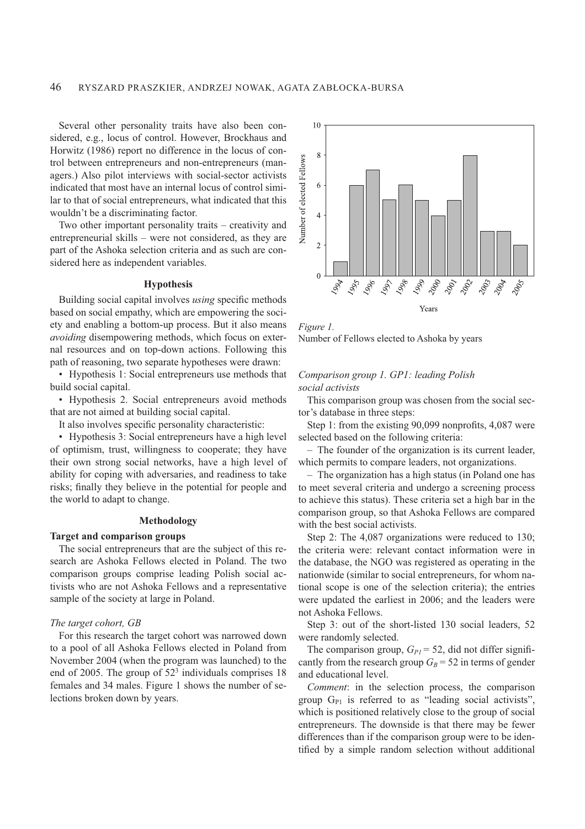Several other personality traits have also been considered, e.g., locus of control. However, Brockhaus and Horwitz (1986) report no difference in the locus of control between entrepreneurs and non-entrepreneurs (managers.) Also pilot interviews with social-sector activists indicated that most have an internal locus of control similar to that of social entrepreneurs, what indicated that this wouldn't be a discriminating factor.

Two other important personality traits – creativity and entrepreneurial skills – were not considered, as they are part of the Ashoka selection criteria and as such are considered here as independent variables.

## **Hypothesis**

Building social capital involves *using* specific methods based on social empathy, which are empowering the society and enabling a bottom-up process. But it also means *avoiding* disempowering methods, which focus on external resources and on top-down actions. Following this path of reasoning, two separate hypotheses were drawn:

• Hypothesis 1: Social entrepreneurs use methods that build social capital.

• Hypothesis 2. Social entrepreneurs avoid methods that are not aimed at building social capital.

It also involves specific personality characteristic:

• Hypothesis 3: Social entrepreneurs have a high level of optimism, trust, willingness to cooperate; they have their own strong social networks, have a high level of ability for coping with adversaries, and readiness to take risks; finally they believe in the potential for people and the world to adapt to change.

#### **Methodology**

#### **Target and comparison groups**

The social entrepreneurs that are the subject of this research are Ashoka Fellows elected in Poland. The two comparison groups comprise leading Polish social activists who are not Ashoka Fellows and a representative sample of the society at large in Poland.

#### *The target cohort, GB*

For this research the target cohort was narrowed down to a pool of all Ashoka Fellows elected in Poland from November 2004 (when the program was launched) to the end of 2005. The group of  $52<sup>3</sup>$  individuals comprises 18 females and 34 males. Figure 1 shows the number of selections broken down by years.



*Figure 1.* Number of Fellows elected to Ashoka by years

## *Comparison group 1. GP1: leading Polish social activists*

This comparison group was chosen from the social sector's database in three steps:

Step 1: from the existing  $90,099$  nonprofits, 4,087 were selected based on the following criteria:

– The founder of the organization is its current leader, which permits to compare leaders, not organizations.

– The organization has a high status (in Poland one has to meet several criteria and undergo a screening process to achieve this status). These criteria set a high bar in the comparison group, so that Ashoka Fellows are compared with the best social activists.

Step 2: The 4,087 organizations were reduced to 130; the criteria were: relevant contact information were in the database, the NGO was registered as operating in the nationwide (similar to social entrepreneurs, for whom national scope is one of the selection criteria); the entries were updated the earliest in 2006; and the leaders were not Ashoka Fellows.

Step 3: out of the short-listed 130 social leaders, 52 were randomly selected.

The comparison group,  $G_{PI} = 52$ , did not differ significantly from the research group  $G_B$  = 52 in terms of gender and educational level.

*Comment*: in the selection process, the comparison group  $G_{P1}$  is referred to as "leading social activists", which is positioned relatively close to the group of social entrepreneurs. The downside is that there may be fewer differences than if the comparison group were to be identified by a simple random selection without additional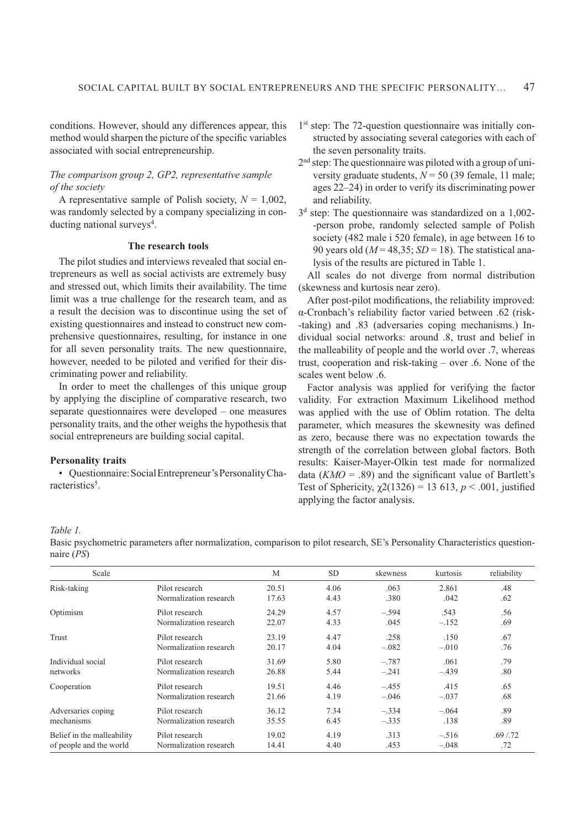conditions. However, should any differences appear, this method would sharpen the picture of the specific variables associated with social entrepreneurship.

## *The comparison group 2, GP2, representative sample of the society*

A representative sample of Polish society,  $N = 1,002$ , was randomly selected by a company specializing in conducting national surveys<sup>4</sup>.

## **The research tools**

The pilot studies and interviews revealed that social entrepreneurs as well as social activists are extremely busy and stressed out, which limits their availability. The time limit was a true challenge for the research team, and as a result the decision was to discontinue using the set of existing questionnaires and instead to construct new comprehensive questionnaires, resulting, for instance in one for all seven personality traits. The new questionnaire, however, needed to be piloted and verified for their discriminating power and reliability.

In order to meet the challenges of this unique group by applying the discipline of comparative research, two separate questionnaires were developed – one measures personality traits, and the other weighs the hypothesis that social entrepreneurs are building social capital.

## **Personality traits**

• Questionnaire: Social Entrepreneur's Personality Characteristics<sup>5</sup>.

- 1 st step: The 72-question questionnaire was initially constructed by associating several categories with each of the seven personality traits.
- 2<sup>nd</sup> step: The questionnaire was piloted with a group of university graduate students, *N* = 50 (39 female, 11 male; ages 22–24) in order to verify its discriminating power and reliability.
- 3 d step: The questionnaire was standardized on a 1,002- -person probe, randomly selected sample of Polish society (482 male i 520 female), in age between 16 to 90 years old (*M* = 48,35; *SD* = 18). The statistical analysis of the results are pictured in Table 1.

All scales do not diverge from normal distribution (skewness and kurtosis near zero).

After post-pilot modifications, the reliability improved: α-Cronbach's reliability factor varied between .62 (risk--taking) and .83 (adversaries coping mechanisms.) Individual social networks: around .8, trust and belief in the malleability of people and the world over .7, whereas trust, cooperation and risk-taking – over .6. None of the scales went below .6.

Factor analysis was applied for verifying the factor validity. For extraction Maximum Likelihood method was applied with the use of Oblim rotation. The delta parameter, which measures the skewnesity was defined as zero, because there was no expectation towards the strength of the correlation between global factors. Both results: Kaiser-Mayer-Olkin test made for normalized data  $(KMO = .89)$  and the significant value of Bartlett's Test of Sphericity,  $\chi$ 2(1326) = 13 613, *p* < .001, justified applying the factor analysis.

#### *Table 1.*

Basic psychometric parameters after normalization, comparison to pilot research, SE's Personality Characteristics questionnaire (*PS*)

| Scale                      |                        | M     | <b>SD</b> | skewness | kurtosis | reliability |
|----------------------------|------------------------|-------|-----------|----------|----------|-------------|
| Risk-taking                | Pilot research         | 20.51 | 4.06      | .063     | 2.861    | .48         |
|                            | Normalization research | 17.63 | 4.43      | .380     | .042     | .62         |
| Optimism                   | Pilot research         | 24.29 | 4.57      | $-.594$  | .543     | .56         |
|                            | Normalization research | 22.07 | 4.33      | .045     | $-.152$  | .69         |
| <b>Trust</b>               | Pilot research         | 23.19 | 4.47      | .258     | .150     | .67         |
|                            | Normalization research | 20.17 | 4.04      | $-.082$  | $-.010$  | .76         |
| Individual social          | Pilot research         | 31.69 | 5.80      | $-.787$  | .061     | .79         |
| networks                   | Normalization research | 26.88 | 5.44      | $-.241$  | $-.439$  | .80         |
| Cooperation                | Pilot research         | 19.51 | 4.46      | $-.455$  | .415     | .65         |
|                            | Normalization research | 21.66 | 4.19      | $-.046$  | $-.037$  | .68         |
| Adversaries coping         | Pilot research         | 36.12 | 7.34      | $-.334$  | $-.064$  | .89         |
| mechanisms                 | Normalization research | 35.55 | 6.45      | $-.335$  | .138     | .89         |
| Belief in the malleability | Pilot research         | 19.02 | 4.19      | .313     | $-.516$  | .69/0.72    |
| of people and the world    | Normalization research | 14.41 | 4.40      | .453     | $-.048$  | .72         |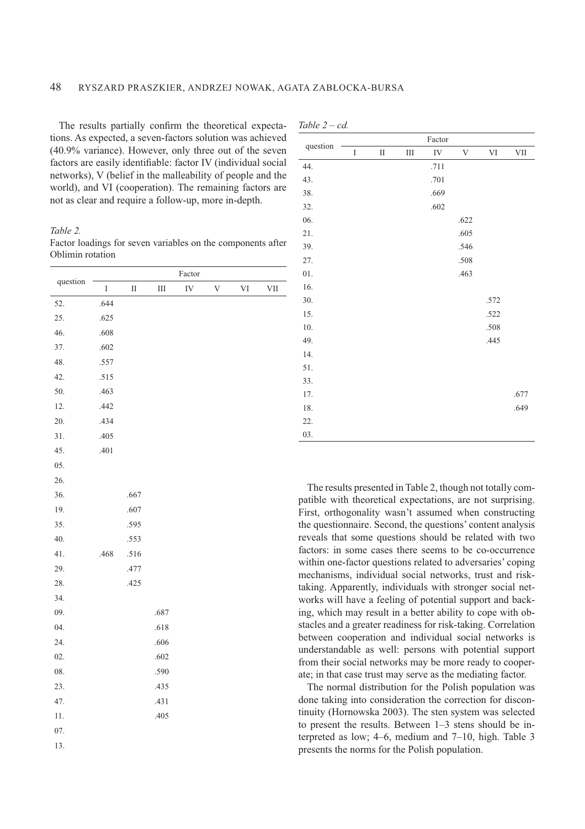*Table 2 – cd.*

The results partially confirm the theoretical expectations. As expected, a seven-factors solution was achieved (40.9% variance). However, only three out of the seven factors are easily identifiable: factor IV (individual social networks), V (belief in the malleability of people and the world), and VI (cooperation). The remaining factors are not as clear and require a follow-up, more in-depth.

*Table 2.* 

| Factor loadings for seven variables on the components after |  |  |
|-------------------------------------------------------------|--|--|
| Oblimin rotation                                            |  |  |

|          |             |          |           | Factor |   |    |     |
|----------|-------------|----------|-----------|--------|---|----|-----|
| question | $\mathbf I$ | $\rm II$ | $\rm III$ | IV     | V | VI | VII |
| 52.      | .644        |          |           |        |   |    |     |
| 25.      | .625        |          |           |        |   |    |     |
| 46.      | .608        |          |           |        |   |    |     |
| 37.      | .602        |          |           |        |   |    |     |
| 48.      | .557        |          |           |        |   |    |     |
| 42.      | .515        |          |           |        |   |    |     |
| 50.      | .463        |          |           |        |   |    |     |
| 12.      | .442        |          |           |        |   |    |     |
| 20.      | .434        |          |           |        |   |    |     |
| 31.      | .405        |          |           |        |   |    |     |
| 45.      | .401        |          |           |        |   |    |     |
| 05.      |             |          |           |        |   |    |     |
| 26.      |             |          |           |        |   |    |     |
| 36.      |             | .667     |           |        |   |    |     |
| 19.      |             | .607     |           |        |   |    |     |
| 35.      |             | .595     |           |        |   |    |     |
| 40.      |             | .553     |           |        |   |    |     |
| 41.      | .468        | .516     |           |        |   |    |     |
| 29.      |             | .477     |           |        |   |    |     |
| 28.      |             | .425     |           |        |   |    |     |
| 34.      |             |          |           |        |   |    |     |
| 09.      |             |          | .687      |        |   |    |     |
| 04.      |             |          | .618      |        |   |    |     |
| 24.      |             |          | .606      |        |   |    |     |
| 02.      |             |          | .602      |        |   |    |     |
| 08.      |             |          | .590      |        |   |    |     |
| 23.      |             |          | .435      |        |   |    |     |
| 47.      |             |          | .431      |        |   |    |     |
| $11.$    |             |          | .405      |        |   |    |     |
| 07.      |             |          |           |        |   |    |     |
| 13.      |             |          |           |        |   |    |     |

|          |             |          |           | Factor     |      |             |            |
|----------|-------------|----------|-----------|------------|------|-------------|------------|
| question | $\mathbf I$ | $\rm II$ | $\rm III$ | ${\rm IV}$ | V    | $\mbox{VI}$ | $\rm{VII}$ |
| 44.      |             |          |           | .711       |      |             |            |
| 43.      |             |          |           | .701       |      |             |            |
| 38.      |             |          |           | .669       |      |             |            |
| 32.      |             |          |           | .602       |      |             |            |
| 06.      |             |          |           |            | .622 |             |            |
| 21.      |             |          |           |            | .605 |             |            |
| 39.      |             |          |           |            | .546 |             |            |
| 27.      |             |          |           |            | .508 |             |            |
| 01.      |             |          |           |            | .463 |             |            |
| 16.      |             |          |           |            |      |             |            |
| 30.      |             |          |           |            |      | .572        |            |
| 15.      |             |          |           |            |      | .522        |            |
| $10.$    |             |          |           |            |      | .508        |            |
| 49.      |             |          |           |            |      | .445        |            |
| 14.      |             |          |           |            |      |             |            |
| 51.      |             |          |           |            |      |             |            |
| 33.      |             |          |           |            |      |             |            |
| 17.      |             |          |           |            |      |             | .677       |
| 18.      |             |          |           |            |      |             | .649       |
| 22.      |             |          |           |            |      |             |            |
| 03.      |             |          |           |            |      |             |            |

The results presented in Table 2, though not totally compatible with theoretical expectations, are not surprising. First, orthogonality wasn't assumed when constructing the questionnaire. Second, the questions' content analysis reveals that some questions should be related with two factors: in some cases there seems to be co-occurrence within one-factor questions related to adversaries' coping mechanisms, individual social networks, trust and risktaking. Apparently, individuals with stronger social networks will have a feeling of potential support and backing, which may result in a better ability to cope with obstacles and a greater readiness for risk-taking. Correlation between cooperation and individual social networks is understandable as well: persons with potential support from their social networks may be more ready to cooperate; in that case trust may serve as the mediating factor.

The normal distribution for the Polish population was done taking into consideration the correction for discontinuity (Hornowska 2003). The sten system was selected to present the results. Between 1–3 stens should be interpreted as low; 4–6, medium and 7–10, high. Table 3 presents the norms for the Polish population.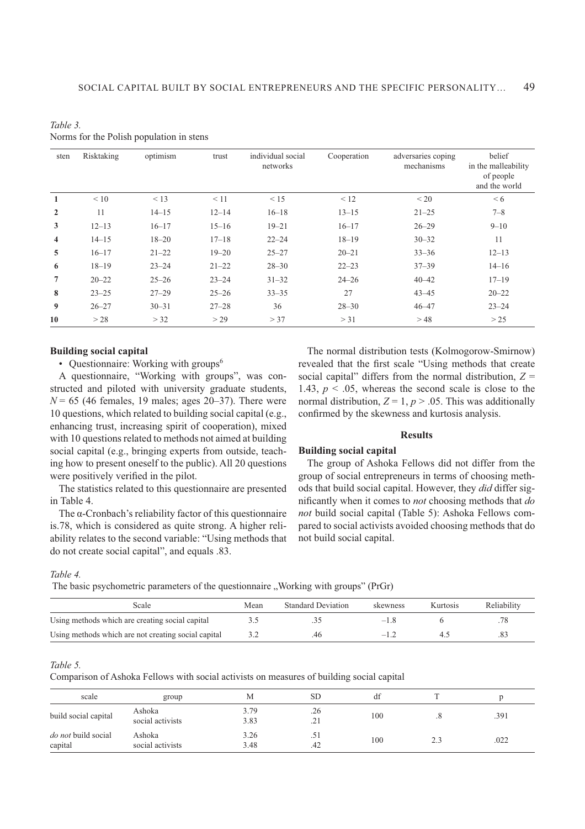| Table 3.                                 |
|------------------------------------------|
| Norms for the Polish population in stens |

| sten         | Risktaking | optimism  | trust     | individual social<br>networks | Cooperation | adversaries coping<br>mechanisms | belief<br>in the malleability<br>of people<br>and the world |
|--------------|------------|-----------|-----------|-------------------------------|-------------|----------------------------------|-------------------------------------------------------------|
| $\mathbf{1}$ | < 10       | < 13      | $\leq 11$ | < 15                          | < 12        | < 20                             | < 6                                                         |
| $\mathbf{2}$ | 11         | $14 - 15$ | $12 - 14$ | $16 - 18$                     | $13 - 15$   | $21 - 25$                        | $7 - 8$                                                     |
| 3            | $12 - 13$  | $16 - 17$ | $15 - 16$ | $19 - 21$                     | $16 - 17$   | $26 - 29$                        | $9 - 10$                                                    |
| 4            | $14 - 15$  | $18 - 20$ | $17 - 18$ | $22 - 24$                     | $18 - 19$   | $30 - 32$                        | 11                                                          |
| 5            | $16 - 17$  | $21 - 22$ | $19 - 20$ | $25 - 27$                     | $20 - 21$   | $33 - 36$                        | $12 - 13$                                                   |
| 6            | $18 - 19$  | $23 - 24$ | $21 - 22$ | $28 - 30$                     | $22 - 23$   | $37 - 39$                        | $14 - 16$                                                   |
| 7            | $20 - 22$  | $25 - 26$ | $23 - 24$ | $31 - 32$                     | $24 - 26$   | $40 - 42$                        | $17 - 19$                                                   |
| 8            | $23 - 25$  | $27 - 29$ | $25 - 26$ | $33 - 35$                     | 27          | $43 - 45$                        | $20 - 22$                                                   |
| 9            | $26 - 27$  | $30 - 31$ | $27 - 28$ | 36                            | $28 - 30$   | $46 - 47$                        | $23 - 24$                                                   |
| 10           | >28        | > 32      | >29       | > 37                          | > 31        | >48                              | >25                                                         |

## **Building social capital**

• Questionnaire: Working with groups<sup>6</sup>

A questionnaire, "Working with groups", was constructed and piloted with university graduate students,  $N = 65$  (46 females, 19 males; ages 20–37). There were 10 questions, which related to building social capital (e.g., enhancing trust, increasing spirit of cooperation), mixed with 10 questions related to methods not aimed at building social capital (e.g., bringing experts from outside, teaching how to present oneself to the public). All 20 questions were positively verified in the pilot.

The statistics related to this questionnaire are presented in Table 4.

The  $\alpha$ -Cronbach's reliability factor of this questionnaire is.78, which is considered as quite strong. A higher reliability relates to the second variable: "Using methods that do not create social capital", and equals .83.

The normal distribution tests (Kolmogorow-Smirnow) revealed that the first scale "Using methods that create social capital" differs from the normal distribution, *Z* = 1.43,  $p < 0.05$ , whereas the second scale is close to the normal distribution,  $Z = 1$ ,  $p > 0.05$ . This was additionally confirmed by the skewness and kurtosis analysis.

## **Results**

## **Building social capital**

The group of Ashoka Fellows did not differ from the group of social entrepreneurs in terms of choosing methods that build social capital. However, they *did* differ significantly when it comes to *not* choosing methods that *do not* build social capital (Table 5): Ashoka Fellows compared to social activists avoided choosing methods that do not build social capital.

*Table 4.*

The basic psychometric parameters of the questionnaire "Working with groups" (PrGr)

| Scale                                               | Mean | <b>Standard Deviation</b> | skewness    | Kurtosis | Reliability |
|-----------------------------------------------------|------|---------------------------|-------------|----------|-------------|
| Using methods which are creating social capital     |      |                           | $-1 \times$ |          |             |
| Using methods which are not creating social capital |      | .46                       | $-1$ .      |          |             |

#### *Table 5.*

Comparison of Ashoka Fellows with social activists on measures of building social capital

| scale                                 | group                      | М            | <b>SD</b>  | df  |     |      |
|---------------------------------------|----------------------------|--------------|------------|-----|-----|------|
| build social capital                  | Ashoka<br>social activists | 3.79<br>3.83 | .26<br>.21 | 100 |     | .391 |
| <i>do not</i> build social<br>capital | Ashoka<br>social activists | 3.26<br>3.48 | .51<br>.42 | 100 | 2.3 | .022 |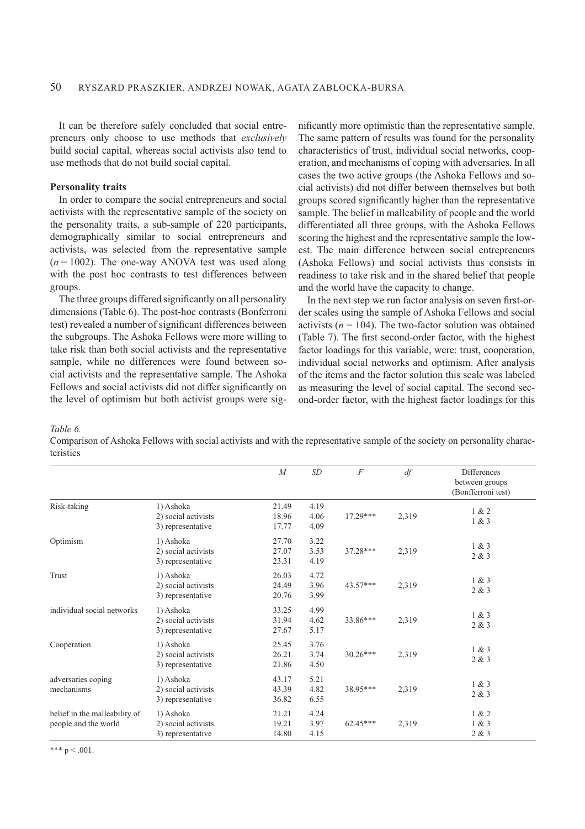It can be therefore safely concluded that social entrepreneurs only choose to use methods that *exclusively* build social capital, whereas social activists also tend to use methods that do not build social capital.

## **Personality traits**

In order to compare the social entrepreneurs and social activists with the representative sample of the society on the personality traits, a sub-sample of 220 participants, demographically similar to social entrepreneurs and activists, was selected from the representative sample  $(n = 1002)$ . The one-way ANOVA test was used along with the post hoc contrasts to test differences between groups.

The three groups differed significantly on all personality dimensions (Table 6). The post-hoc contrasts (Bonferroni test) revealed a number of significant differences between the subgroups. The Ashoka Fellows were more willing to take risk than both social activists and the representative sample, while no differences were found between social activists and the representative sample. The Ashoka Fellows and social activists did not differ significantly on the level of optimism but both activist groups were significantly more optimistic than the representative sample. The same pattern of results was found for the personality characteristics of trust, individual social networks, cooperation, and mechanisms of coping with adversaries. In all cases the two active groups (the Ashoka Fellows and social activists) did not differ between themselves but both groups scored significantly higher than the representative sample. The belief in malleability of people and the world differentiated all three groups, with the Ashoka Fellows scoring the highest and the representative sample the lowest. The main difference between social entrepreneurs (Ashoka Fellows) and social activists thus consists in readiness to take risk and in the shared belief that people and the world have the capacity to change.

In the next step we run factor analysis on seven first-order scales using the sample of Ashoka Fellows and social activists ( $n = 104$ ). The two-factor solution was obtained (Table 7). The first second-order factor, with the highest factor loadings for this variable, were: trust, cooperation, individual social networks and optimism. After analysis of the items and the factor solution this scale was labeled as measuring the level of social capital. The second second-order factor, with the highest factor loadings for this

*Table 6.*

Comparison of Ashoka Fellows with social activists and with the representative sample of the society on personality characteristics

|                                                       |                                                       | $\boldsymbol{M}$        | SD                   | $\overline{F}$ | df    | Differences<br>between groups<br>(Bonfferroni test) |
|-------------------------------------------------------|-------------------------------------------------------|-------------------------|----------------------|----------------|-------|-----------------------------------------------------|
| Risk-taking                                           | 1) Ashoka<br>2) social activists<br>3) representative | 21.49<br>18.96<br>17.77 | 4.19<br>4.06<br>4.09 | $17.29***$     | 2,319 | 1 & 2<br>1 & 3                                      |
| Optimism                                              | 1) Ashoka<br>2) social activists<br>3) representative | 27.70<br>27.07<br>23.31 | 3.22<br>3.53<br>4.19 | 37.28***       | 2,319 | 1 & 3<br>2 & 3                                      |
| Trust                                                 | 1) Ashoka<br>2) social activists<br>3) representative | 26.03<br>24.49<br>20.76 | 4.72<br>3.96<br>3.99 | $43.57***$     | 2,319 | 1 & 3<br>2 & 3                                      |
| individual social networks                            | 1) Ashoka<br>2) social activists<br>3) representative | 33.25<br>31.94<br>27.67 | 4.99<br>4.62<br>5.17 | 33.86***       | 2,319 | 1 & 3<br>2 & 3                                      |
| Cooperation                                           | 1) Ashoka<br>2) social activists<br>3) representative | 25.45<br>26.21<br>21.86 | 3.76<br>3.74<br>4.50 | $30.26***$     | 2,319 | 1 & 3<br>2 & 3                                      |
| adversaries coping<br>mechanisms                      | 1) Ashoka<br>2) social activists<br>3) representative | 43.17<br>43.39<br>36.82 | 5.21<br>4.82<br>6.55 | 38.95***       | 2,319 | 1 & 3<br>2 & 3                                      |
| belief in the malleability of<br>people and the world | 1) Ashoka<br>2) social activists<br>3) representative | 21.21<br>19.21<br>14.80 | 4.24<br>3.97<br>4.15 | $62.45***$     | 2,319 | 1 & 2<br>1 & 3<br>2 & 3                             |

\*\*\*  $p < .001$ .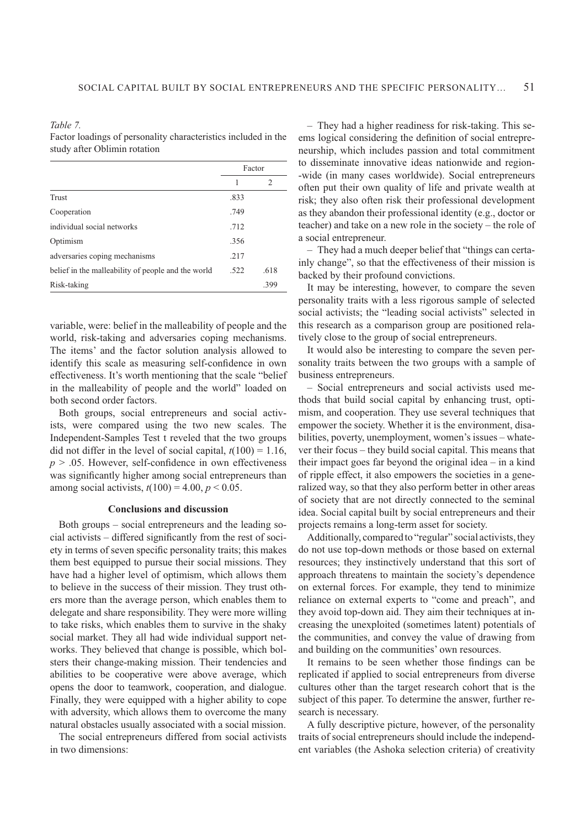*Table 7.*

Factor loadings of personality characteristics included in the study after Oblimin rotation

|                                                    |      | Factor |
|----------------------------------------------------|------|--------|
|                                                    | 1    | 2      |
| Trust                                              | .833 |        |
| Cooperation                                        | .749 |        |
| individual social networks                         | .712 |        |
| Optimism                                           | .356 |        |
| adversaries coping mechanisms                      | .217 |        |
| belief in the malleability of people and the world | .522 | .618   |
| Risk-taking                                        |      | .399   |

variable, were: belief in the malleability of people and the world, risk-taking and adversaries coping mechanisms. The items' and the factor solution analysis allowed to identify this scale as measuring self-confidence in own effectiveness. It's worth mentioning that the scale "belief in the malleability of people and the world" loaded on both second order factors.

Both groups, social entrepreneurs and social activists, were compared using the two new scales. The Independent-Samples Test t reveled that the two groups did not differ in the level of social capital,  $t(100) = 1.16$ ,  $p > .05$ . However, self-confidence in own effectiveness was significantly higher among social entrepreneurs than among social activists,  $t(100) = 4.00, p < 0.05$ .

#### **Conclusions and discussion**

Both groups – social entrepreneurs and the leading so $cial$  activists – differed significantly from the rest of society in terms of seven specific personality traits; this makes them best equipped to pursue their social missions. They have had a higher level of optimism, which allows them to believe in the success of their mission. They trust others more than the average person, which enables them to delegate and share responsibility. They were more willing to take risks, which enables them to survive in the shaky social market. They all had wide individual support networks. They believed that change is possible, which bolsters their change-making mission. Their tendencies and abilities to be cooperative were above average, which opens the door to teamwork, cooperation, and dialogue. Finally, they were equipped with a higher ability to cope with adversity, which allows them to overcome the many natural obstacles usually associated with a social mission.

The social entrepreneurs differed from social activists in two dimensions:

– They had a higher readiness for risk-taking. This seems logical considering the definition of social entrepreneurship, which includes passion and total commitment to disseminate innovative ideas nationwide and region- -wide (in many cases worldwide). Social entrepreneurs often put their own quality of life and private wealth at risk; they also often risk their professional development as they abandon their professional identity (e.g., doctor or teacher) and take on a new role in the society – the role of a social entrepreneur.

– They had a much deeper belief that "things can certainly change", so that the effectiveness of their mission is backed by their profound convictions.

It may be interesting, however, to compare the seven personality traits with a less rigorous sample of selected social activists; the "leading social activists" selected in this research as a comparison group are positioned relatively close to the group of social entrepreneurs.

It would also be interesting to compare the seven personality traits between the two groups with a sample of business entrepreneurs.

– Social entrepreneurs and social activists used methods that build social capital by enhancing trust, optimism, and cooperation. They use several techniques that empower the society. Whether it is the environment, disabilities, poverty, unemployment, women's issues – whatever their focus – they build social capital. This means that their impact goes far beyond the original idea – in a kind of ripple effect, it also empowers the societies in a generalized way, so that they also perform better in other areas of society that are not directly connected to the seminal idea. Social capital built by social entrepreneurs and their projects remains a long-term asset for society.

Additionally, compared to "regular" social activists, they do not use top-down methods or those based on external resources; they instinctively understand that this sort of approach threatens to maintain the society's dependence on external forces. For example, they tend to minimize reliance on external experts to "come and preach", and they avoid top-down aid. They aim their techniques at increasing the unexploited (sometimes latent) potentials of the communities, and convey the value of drawing from and building on the communities' own resources.

It remains to be seen whether those findings can be replicated if applied to social entrepreneurs from diverse cultures other than the target research cohort that is the subject of this paper. To determine the answer, further research is necessary.

A fully descriptive picture, however, of the personality traits of social entrepreneurs should include the independent variables (the Ashoka selection criteria) of creativity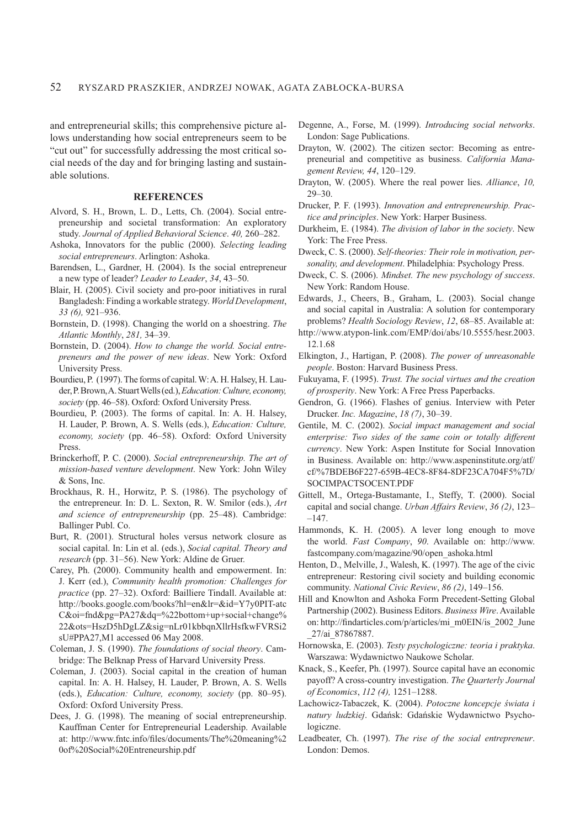and entrepreneurial skills; this comprehensive picture allows understanding how social entrepreneurs seem to be "cut out" for successfully addressing the most critical social needs of the day and for bringing lasting and sustainable solutions.

#### **REFERENCES**

- Alvord, S. H., Brown, L. D., Letts, Ch. (2004). Social entrepreneurship and societal transformation: An exploratory study. *Journal of Applied Behavioral Science*. *40,* 260–282.
- Ashoka, Innovators for the public (2000). *Selecting leading social entrepreneurs*. Arlington: Ashoka.
- Barendsen, L., Gardner, H. (2004). Is the social entrepreneur a new type of leader? *Leader to Leader*, *34*, 43–50.
- Blair, H. (2005). Civil society and pro-poor initiatives in rural Bangladesh: Finding a workable strategy. *World Development*, *33 (6),* 921–936.
- Bornstein, D. (1998). Changing the world on a shoestring. *The Atlantic Monthly*, *281,* 34–39.
- Bornstein, D. (2004). *How to change the world. Social entrepreneurs and the power of new ideas*. New York: Oxford University Press.
- Bourdieu, P. (1997). The forms of capital. W: A. H. Halsey, H. Lauder, P. Brown, A. Stuart Wells (ed.), *Education: Culture, economy, society* (pp. 46–58). Oxford: Oxford University Press.
- Bourdieu, P. (2003). The forms of capital. In: A. H. Halsey, H. Lau der, P. Brown, A. S. Wells (eds.), *Education: Culture, economy, society* (pp. 46–58). Oxford: Oxford University Press.
- Brinckerhoff, P. C. (2000). *Social entrepreneurship. The art of mission-based venture development*. New York: John Wiley & Sons, Inc.
- Brockhaus, R. H., Horwitz, P. S. (1986). The psychology of the entrepreneur. In: D. L. Sexton, R. W. Smilor (eds.), *Art and science of entrepreneurship* (pp. 25–48). Cambridge: Ballinger Publ. Co.
- Burt, R. (2001). Structural holes versus network closure as social capital. In: Lin et al. (eds.), *Social capital. Theory and research* (pp. 31–56). New York: Aldine de Gruer.
- Carey, Ph. (2000). Community health and empowerment. In: J. Kerr (ed.), *Community health promotion: Challenges for practice* (pp. 27–32). Oxford: Bailliere Tindall. Available at: http://books.google.com/books?hl=en&lr=&id=Y7y0PIT-atc C&oi=fnd&pg=PA27&dq=%22bottom+up+social+change% 22&ots=HszD5hDgLZ&sig=nLr01kbbqnXllrHsfkwFVRSi2 sU#PPA27,M1 accessed 06 May 2008.
- Coleman, J. S. (1990). *The foundations of social theory*. Cambridge: The Belknap Press of Harvard University Press.
- Coleman, J. (2003). Social capital in the creation of human capital. In: A. H. Halsey, H. Lauder, P. Brown, A. S. Wells (eds.), *Education: Culture, economy, society* (pp. 80–95). Oxford: Oxford University Press.
- Dees, J. G. (1998). The meaning of social entrepreneurship. Kauffman Center for Entrepreneurial Leadership. Available at: http://www.fntc.info/files/documents/The%20meaning%2 0of%20Social%20Entreneurship.pdf
- Degenne, A., Forse, M. (1999). *Introducing social networks*. London: Sage Publications.
- Drayton, W. (2002). The citizen sector: Becoming as entrepreneurial and competitive as business. *California Management Review, 44*, 120–129.
- Drayton, W. (2005). Where the real power lies. *Alliance*, *10,* 29–30.
- Drucker, P. F. (1993). *Innovation and entrepreneurship. Practice and principles*. New York: Harper Business.
- Durkheim, E. (1984). *The division of labor in the society*. New York: The Free Press.
- Dweck, C. S. (2000). *Self-theories: Their role in motivation, personality, and development*. Philadelphia: Psychology Press.
- Dweck, C. S. (2006). *Mindset. The new psychology of success*. New York: Random House.
- Edwards, J., Cheers, B., Graham, L. (2003). Social change and social capital in Australia: A solution for contemporary problems? *Health Sociology Review*, *12*, 68–85. Available at:
- http://www.atypon-link.com/EMP/doi/abs/10.5555/hesr.2003. 12.1.68
- Elkington, J., Hartigan, P. (2008). *The power of unreasonable people*. Boston: Harvard Business Press.
- Fukuyama, F. (1995). *Trust. The social virtues and the creation of prosperity*. New York: A Free Press Paperbacks.
- Gendron, G. (1966). Flashes of genius. Interview with Peter Drucker. *Inc. Magazine*, *18 (7)*, 30–39.
- Gentile, M. C. (2002). *Social impact management and social enterprise: Two sides of the same coin or totally different currency*. New York: Aspen Institute for Social Innovation in Business. Available on: http://www.aspeninstitute.org/atf/ cf/%7BDEB6F227-659B-4EC8-8F84-8DF23CA704F5%7D/ SOCIMPACTSOCENT.PDF
- Gittell, M., Ortega-Bustamante, I., Steffy, T. (2000). Social capital and social change. *Urban Affairs Review*, *36 (2)*, 123– –147.
- Hammonds, K. H. (2005). A lever long enough to move the world. *Fast Company*, *90*. Available on: http://www. fastcompany.com/magazine/90/open\_ashoka.html
- Henton, D., Melville, J., Walesh, K. (1997). The age of the civic entrepreneur: Restoring civil society and building economic community. *National Civic Review*, *86 (2)*, 149–156.
- Hill and Knowlton and Ashoka Form Precedent-Setting Global Partnership (2002). Business Editors. *Business Wire*. Available on: http://findarticles.com/p/articles/mi\_m0EIN/is\_2002\_June \_27/ai\_87867887.
- Hornowska, E. (2003). *Testy psychologiczne: teoria i praktyka*. Warszawa: Wydawnictwo Naukowe Scholar.
- Knack, S., Keefer, Ph. (1997). Source capital have an economic payoff? A cross-country investigation. *The Quarterly Journal of Economics*, *112 (4),* 1251–1288.
- Lachowicz-Tabaczek, K. (2004). Potoczne koncepcje świata i natury ludzkiej. Gdańsk: Gdańskie Wydawnictwo Psychologiczne.
- Leadbeater, Ch. (1997). *The rise of the social entrepreneur*. London: Demos.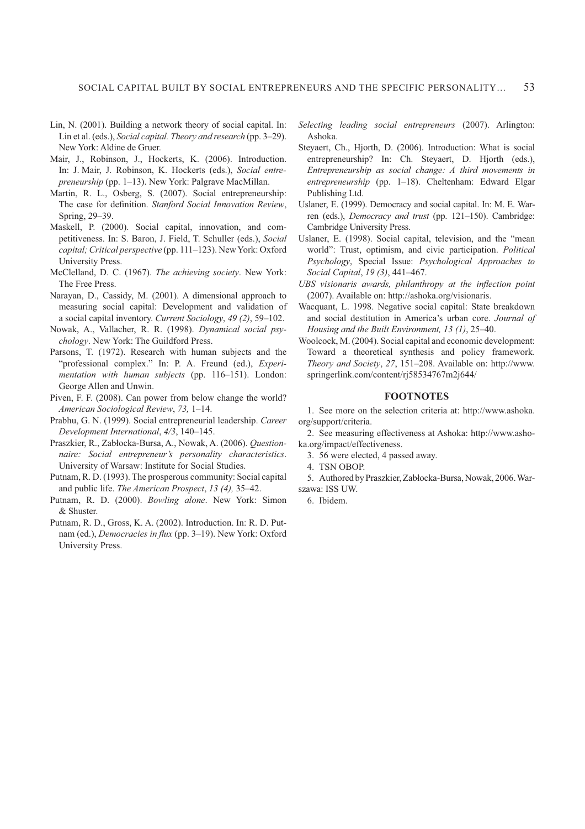- Lin, N. (2001). Building a network theory of social capital. In: Lin et al. (eds.), *Social capital. Theory and research* (pp. 3–29). New York: Aldine de Gruer.
- Mair, J., Robinson, J., Hockerts, K. (2006). Introduction. In: J. Mair, J. Robinson, K. Hockerts (eds.), *Social entrepreneurship* (pp. 1–13). New York: Palgrave MacMillan.
- Martin, R. L., Osberg, S. (2007). Social entrepreneurship: The case for definition. *Stanford Social Innovation Review*, Spring, 29–39.
- Maskell, P. (2000). Social capital, innovation, and competitiveness. In: S. Baron, J. Field, T. Schuller (eds.), *Social capital; Critical perspective* (pp. 111–123). New York: Oxford University Press.
- McClelland, D. C. (1967). *The achieving society*. New York: The Free Press.
- Narayan, D., Cassidy, M. (2001). A dimensional approach to measuring social capital: Development and validation of a social capital inventory. *Current Sociology*, *49 (2)*, 59–102.
- Nowak, A., Vallacher, R. R. (1998). *Dynamical social psychology*. New York: The Guildford Press.
- Parsons, T. (1972). Research with human subjects and the "professional complex." In: P. A. Freund (ed.), *Experimentation with human subjects* (pp. 116–151). London: George Allen and Unwin.
- Piven, F. F. (2008). Can power from below change the world? *American Sociological Review*, *73,* 1–14.
- Prabhu, G. N. (1999). Social entrepreneurial leadership. *Career Development International*, *4/3*, 140–145.
- Praszkier, R., Zabłocka-Bursa, A., Nowak, A. (2006). *Questionnaire: Social entrepreneur's personality characteristics*. University of Warsaw: Institute for Social Studies.
- Putnam, R. D. (1993). The prosperous community: Social capital and public life. *The American Prospect*, *13 (4),* 35–42.
- Putnam, R. D. (2000). *Bowling alone*. New York: Simon & Shuster.
- Putnam, R. D., Gross, K. A. (2002). Introduction. In: R. D. Putnam (ed.), *Democracies in flux* (pp. 3–19). New York: Oxford University Press.
- *Selecting leading social entrepreneurs* (2007). Arlington: Ashoka.
- Steyaert, Ch., Hjorth, D. (2006). Introduction: What is social entrepreneurship? In: Ch. Steyaert, D. Hjorth (eds.), *Entrepreneurship as social change: A third movements in entrepreneurship* (pp. 1–18). Cheltenham: Edward Elgar Publishing Ltd.
- Uslaner, E. (1999). Democracy and social capital. In: M. E. Warren (eds.), *Democracy and trust* (pp. 121–150). Cambridge: Cambridge University Press.
- Uslaner, E. (1998). Social capital, television, and the "mean world": Trust, optimism, and civic participation. *Political Psychology*, Special Issue: *Psychological Approaches to Social Capital*, *19 (3)*, 441–467.
- *UBS visionaris awards, philanthropy at the inßection point* (2007). Available on: http://ashoka.org/visionaris.
- Wacquant, L. 1998. Negative social capital: State breakdown and social destitution in America's urban core. *Journal of Housing and the Built Environment, 13 (1)*, 25–40.
- Woolcock, M. (2004). Social capital and economic development: Toward a theoretical synthesis and policy framework. *Theory and Society*, *27*, 151–208. Available on: http://www. springerlink.com/content/rj58534767m2j644/

## **FOOTNOTES**

1. See more on the selection criteria at: http://www.ashoka. org/support/criteria.

2. See measuring effectiveness at Ashoka: http://www.ashoka.org/impact/effectiveness.

- 3. 56 were elected, 4 passed away.
- 4. TSN OBOP.
- 5. Authored by Praszkier, Zabłocka-Bursa, Nowak, 2006. Warszawa: ISS UW.
- 6. Ibidem.